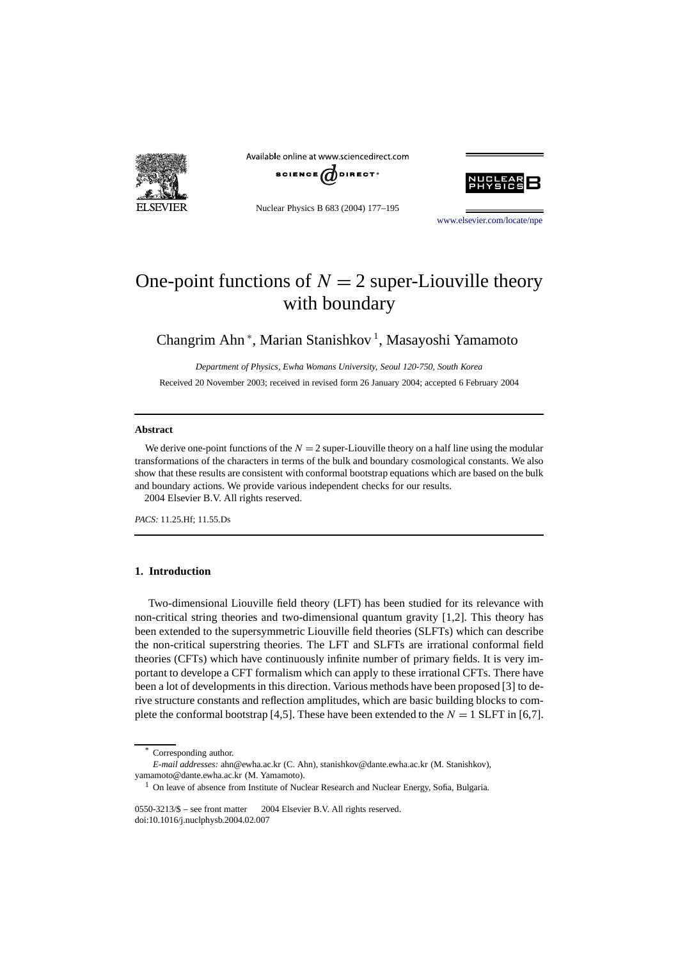

Available online at www.sciencedirect.com



Nuclear Physics B 683 (2004) 177–195



[www.elsevier.com/locate/npe](http://www.elsevier.com/locate/npe)

# One-point functions of  $N = 2$  super-Liouville theory with boundary

Changrim Ahn<sup>\*</sup>, Marian Stanishkov<sup>1</sup>, Masayoshi Yamamoto

*Department of Physics, Ewha Womans University, Seoul 120-750, South Korea*

Received 20 November 2003; received in revised form 26 January 2004; accepted 6 February 2004

#### **Abstract**

We derive one-point functions of the  $N = 2$  super-Liouville theory on a half line using the modular transformations of the characters in terms of the bulk and boundary cosmological constants. We also show that these results are consistent with conformal bootstrap equations which are based on the bulk and boundary actions. We provide various independent checks for our results. 2004 Elsevier B.V. All rights reserved.

*PACS:* 11.25.Hf; 11.55.Ds

# **1. Introduction**

Two-dimensional Liouville field theory (LFT) has been studied for its relevance with non-critical string theories and two-dimensional quantum gravity [1,2]. This theory has been extended to the supersymmetric Liouville field theories (SLFTs) which can describe the non-critical superstring theories. The LFT and SLFTs are irrational conformal field theories (CFTs) which have continuously infinite number of primary fields. It is very important to develope a CFT formalism which can apply to these irrational CFTs. There have been a lot of developments in this direction. Various methods have been proposed [3] to derive structure constants and reflection amplitudes, which are basic building blocks to complete the conformal bootstrap [4,5]. These have been extended to the  $N = 1$  SLFT in [6,7].

Corresponding author.

*E-mail addresses:* ahn@ewha.ac.kr (C. Ahn), stanishkov@dante.ewha.ac.kr (M. Stanishkov), yamamoto@dante.ewha.ac.kr (M. Yamamoto).

<sup>&</sup>lt;sup>1</sup> On leave of absence from Institute of Nuclear Research and Nuclear Energy, Sofia, Bulgaria.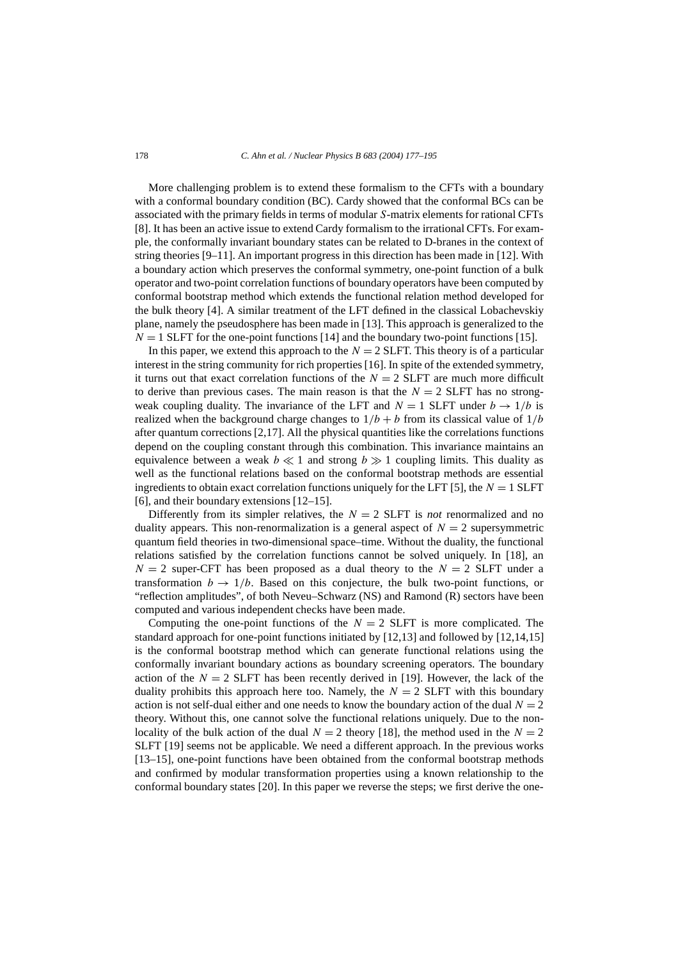More challenging problem is to extend these formalism to the CFTs with a boundary with a conformal boundary condition (BC). Cardy showed that the conformal BCs can be associated with the primary fields in terms of modular *S*-matrix elements for rational CFTs [8]. It has been an active issue to extend Cardy formalism to the irrational CFTs. For example, the conformally invariant boundary states can be related to D-branes in the context of string theories [9–11]. An important progress in this direction has been made in [12]. With a boundary action which preserves the conformal symmetry, one-point function of a bulk operator and two-point correlation functions of boundary operators have been computed by conformal bootstrap method which extends the functional relation method developed for the bulk theory [4]. A similar treatment of the LFT defined in the classical Lobachevskiy plane, namely the pseudosphere has been made in [13]. This approach is generalized to the  $N = 1$  SLFT for the one-point functions [14] and the boundary two-point functions [15].

In this paper, we extend this approach to the  $N = 2$  SLFT. This theory is of a particular interest in the string community for rich properties [16]. In spite of the extended symmetry, it turns out that exact correlation functions of the  $N = 2$  SLFT are much more difficult to derive than previous cases. The main reason is that the  $N = 2$  SLFT has no strongweak coupling duality. The invariance of the LFT and  $N = 1$  SLFT under  $b \rightarrow 1/b$  is realized when the background charge changes to  $1/b + b$  from its classical value of  $1/b$ after quantum corrections [2,17]. All the physical quantities like the correlations functions depend on the coupling constant through this combination. This invariance maintains an equivalence between a weak  $b \ll 1$  and strong  $b \gg 1$  coupling limits. This duality as well as the functional relations based on the conformal bootstrap methods are essential ingredients to obtain exact correlation functions uniquely for the LFT [5], the  $N = 1$  SLFT [6], and their boundary extensions [12–15].

Differently from its simpler relatives, the  $N = 2$  SLFT is *not* renormalized and no duality appears. This non-renormalization is a general aspect of  $N = 2$  supersymmetric quantum field theories in two-dimensional space–time. Without the duality, the functional relations satisfied by the correlation functions cannot be solved uniquely. In [18], an  $N = 2$  super-CFT has been proposed as a dual theory to the  $N = 2$  SLFT under a transformation  $b \to 1/b$ . Based on this conjecture, the bulk two-point functions, or "reflection amplitudes", of both Neveu–Schwarz (NS) and Ramond (R) sectors have been computed and various independent checks have been made.

Computing the one-point functions of the  $N = 2$  SLFT is more complicated. The standard approach for one-point functions initiated by [12,13] and followed by [12,14,15] is the conformal bootstrap method which can generate functional relations using the conformally invariant boundary actions as boundary screening operators. The boundary action of the  $N = 2$  SLFT has been recently derived in [19]. However, the lack of the duality prohibits this approach here too. Namely, the  $N = 2$  SLFT with this boundary action is not self-dual either and one needs to know the boundary action of the dual  $N = 2$ theory. Without this, one cannot solve the functional relations uniquely. Due to the nonlocality of the bulk action of the dual  $N = 2$  theory [18], the method used in the  $N = 2$ SLFT [19] seems not be applicable. We need a different approach. In the previous works [13–15], one-point functions have been obtained from the conformal bootstrap methods and confirmed by modular transformation properties using a known relationship to the conformal boundary states [20]. In this paper we reverse the steps; we first derive the one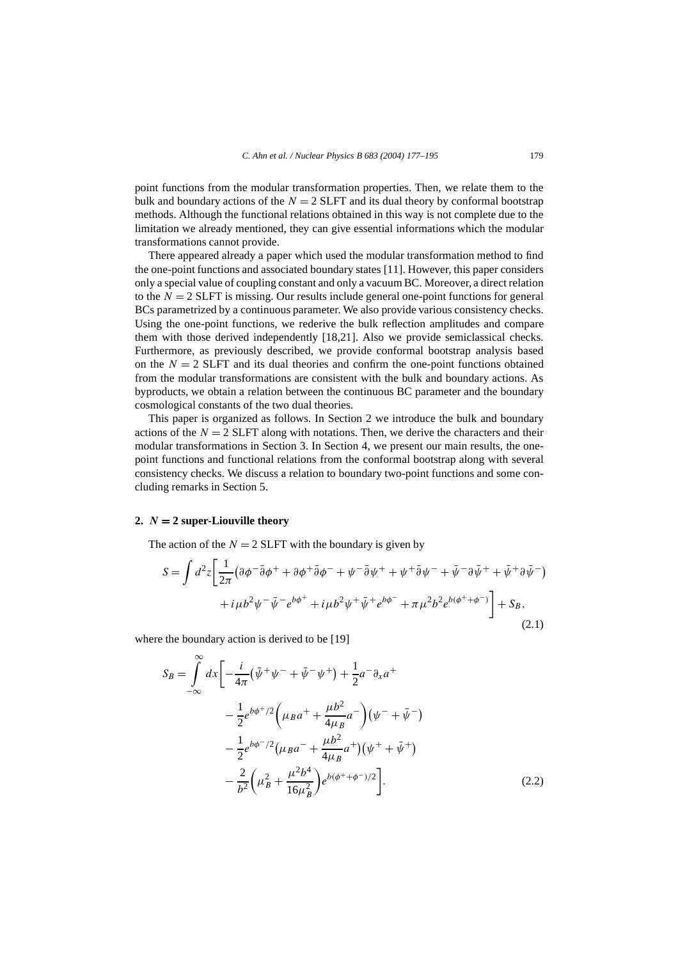point functions from the modular transformation properties. Then, we relate them to the bulk and boundary actions of the  $N = 2$  SLFT and its dual theory by conformal bootstrap methods. Although the functional relations obtained in this way is not complete due to the limitation we already mentioned, they can give essential informations which the modular transformations cannot provide.

There appeared already a paper which used the modular transformation method to find the one-point functions and associated boundary states [11]. However, this paper considers only a special value of coupling constant and only a vacuum BC. Moreover, a direct relation to the  $N = 2$  SLFT is missing. Our results include general one-point functions for general BCs parametrized by a continuous parameter. We also provide various consistency checks. Using the one-point functions, we rederive the bulk reflection amplitudes and compare them with those derived independently [18,21]. Also we provide semiclassical checks. Furthermore, as previously described, we provide conformal bootstrap analysis based on the  $N = 2$  SLFT and its dual theories and confirm the one-point functions obtained from the modular transformations are consistent with the bulk and boundary actions. As byproducts, we obtain a relation between the continuous BC parameter and the boundary cosmological constants of the two dual theories.

This paper is organized as follows. In Section 2 we introduce the bulk and boundary actions of the  $N = 2$  SLFT along with notations. Then, we derive the characters and their modular transformations in Section 3. In Section 4, we present our main results, the onepoint functions and functional relations from the conformal bootstrap along with several consistency checks. We discuss a relation to boundary two-point functions and some concluding remarks in Section 5.

## 2.  $N = 2$  super-Liouville theory

The action of the  $N = 2$  SLFT with the boundary is given by

$$
S = \int d^2 z \left[ \frac{1}{2\pi} \left( \partial \phi^- \bar{\partial} \phi^+ + \partial \phi^+ \bar{\partial} \phi^- + \psi^- \bar{\partial} \psi^+ + \psi^+ \bar{\partial} \psi^- + \bar{\psi}^- \partial \bar{\psi}^+ + \bar{\psi}^+ \partial \bar{\psi}^- \right) \right. \\
\left. + i\mu b^2 \psi^- \bar{\psi}^- e^{b\phi^+} + i\mu b^2 \psi^+ \bar{\psi}^+ e^{b\phi^-} + \pi \mu^2 b^2 e^{b(\phi^+ + \phi^-)} \right] + S_B,
$$
\n(2.1)

where the boundary action is derived to be [19]

$$
S_B = \int_{-\infty}^{\infty} dx \left[ -\frac{i}{4\pi} (\bar{\psi}^+ \psi^- + \bar{\psi}^- \psi^+) + \frac{1}{2} a^- \partial_x a^+ \right. \left. - \frac{1}{2} e^{b\phi^+/2} \left( \mu_B a^+ + \frac{\mu b^2}{4\mu_B} a^- \right) (\psi^- + \bar{\psi}^-) \right. \left. - \frac{1}{2} e^{b\phi^-/2} (\mu_B a^- + \frac{\mu b^2}{4\mu_B} a^+) (\psi^+ + \bar{\psi}^+) \right. \left. - \frac{2}{b^2} \left( \mu_B^2 + \frac{\mu^2 b^4}{16\mu_B^2} \right) e^{b(\phi^+ + \phi^-)/2} \right].
$$
\n(2.2)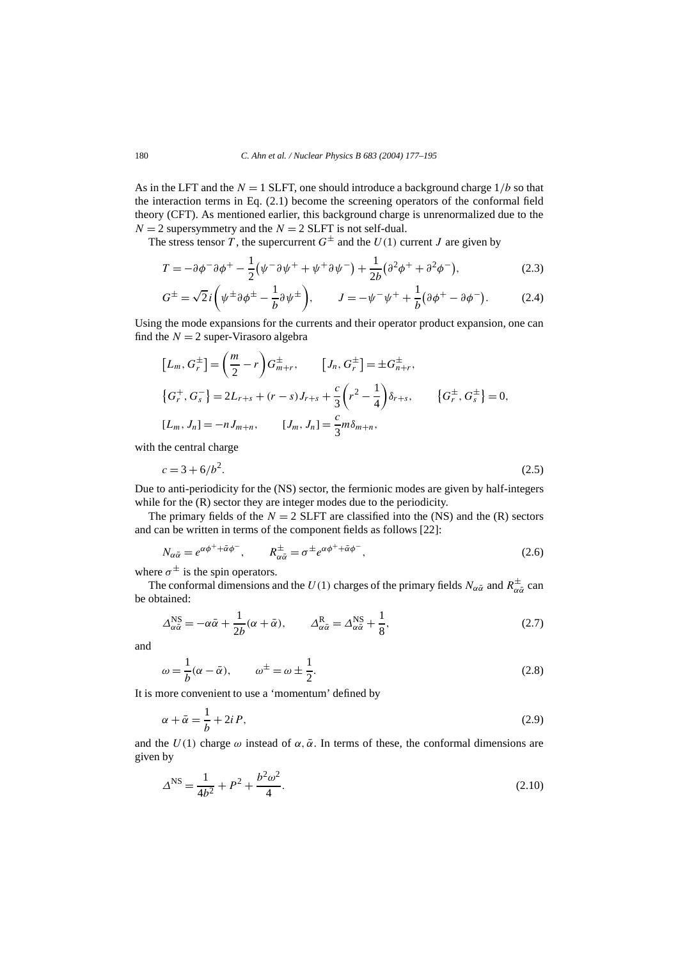As in the LFT and the  $N = 1$  SLFT, one should introduce a background charge  $1/b$  so that the interaction terms in Eq. (2.1) become the screening operators of the conformal field theory (CFT). As mentioned earlier, this background charge is unrenormalized due to the  $N = 2$  supersymmetry and the  $N = 2$  SLFT is not self-dual.

The stress tensor *T*, the supercurrent  $G^{\pm}$  and the *U*(1) current *J* are given by

$$
T = -\partial \phi^{-} \partial \phi^{+} - \frac{1}{2} (\psi^{-} \partial \psi^{+} + \psi^{+} \partial \psi^{-}) + \frac{1}{2b} (\partial^{2} \phi^{+} + \partial^{2} \phi^{-}), \tag{2.3}
$$

$$
G^{\pm} = \sqrt{2}i\left(\psi^{\pm}\partial\phi^{\pm} - \frac{1}{b}\partial\psi^{\pm}\right), \qquad J = -\psi^{-}\psi^{+} + \frac{1}{b}\left(\partial\phi^{+} - \partial\phi^{-}\right).
$$
 (2.4)

Using the mode expansions for the currents and their operator product expansion, one can find the  $N = 2$  super-Virasoro algebra

$$
[L_m, G_r^{\pm}] = \left(\frac{m}{2} - r\right) G_{m+r}^{\pm}, \qquad [J_n, G_r^{\pm}] = \pm G_{n+r}^{\pm},
$$
  

$$
\{G_r^+, G_s^-\} = 2L_{r+s} + (r-s)J_{r+s} + \frac{c}{3}\left(r^2 - \frac{1}{4}\right)\delta_{r+s}, \qquad \{G_r^{\pm}, G_s^{\pm}\} = 0,
$$
  

$$
[L_m, J_n] = -nJ_{m+n}, \qquad [J_m, J_n] = \frac{c}{3}m\delta_{m+n},
$$

with the central charge

$$
c = 3 + 6/b^2. \tag{2.5}
$$

Due to anti-periodicity for the (NS) sector, the fermionic modes are given by half-integers while for the  $(R)$  sector they are integer modes due to the periodicity.

The primary fields of the  $N = 2$  SLFT are classified into the (NS) and the (R) sectors and can be written in terms of the component fields as follows [22]:

$$
N_{\alpha\bar{\alpha}} = e^{\alpha\phi^+ + \bar{\alpha}\phi^-}, \qquad R_{\alpha\bar{\alpha}}^{\pm} = \sigma^{\pm} e^{\alpha\phi^+ + \bar{\alpha}\phi^-}, \qquad (2.6)
$$

where  $\sigma^{\pm}$  is the spin operators.

The conformal dimensions and the *U*(1) charges of the primary fields  $N_{\alpha\bar{\alpha}}$  and  $R^{\pm}_{\alpha\bar{\alpha}}$  can be obtained:

$$
\Delta_{\alpha\bar{\alpha}}^{\text{NS}} = -\alpha\bar{\alpha} + \frac{1}{2b}(\alpha + \bar{\alpha}), \qquad \Delta_{\alpha\bar{\alpha}}^{\text{R}} = \Delta_{\alpha\bar{\alpha}}^{\text{NS}} + \frac{1}{8}, \tag{2.7}
$$

and

$$
\omega = \frac{1}{b}(\alpha - \bar{\alpha}), \qquad \omega^{\pm} = \omega \pm \frac{1}{2}.
$$
\n(2.8)

It is more convenient to use a 'momentum' defined by

$$
\alpha + \bar{\alpha} = \frac{1}{b} + 2iP,\tag{2.9}
$$

and the  $U(1)$  charge  $\omega$  instead of  $\alpha, \bar{\alpha}$ . In terms of these, the conformal dimensions are given by

$$
\Delta^{\rm NS} = \frac{1}{4b^2} + P^2 + \frac{b^2 \omega^2}{4}.
$$
\n(2.10)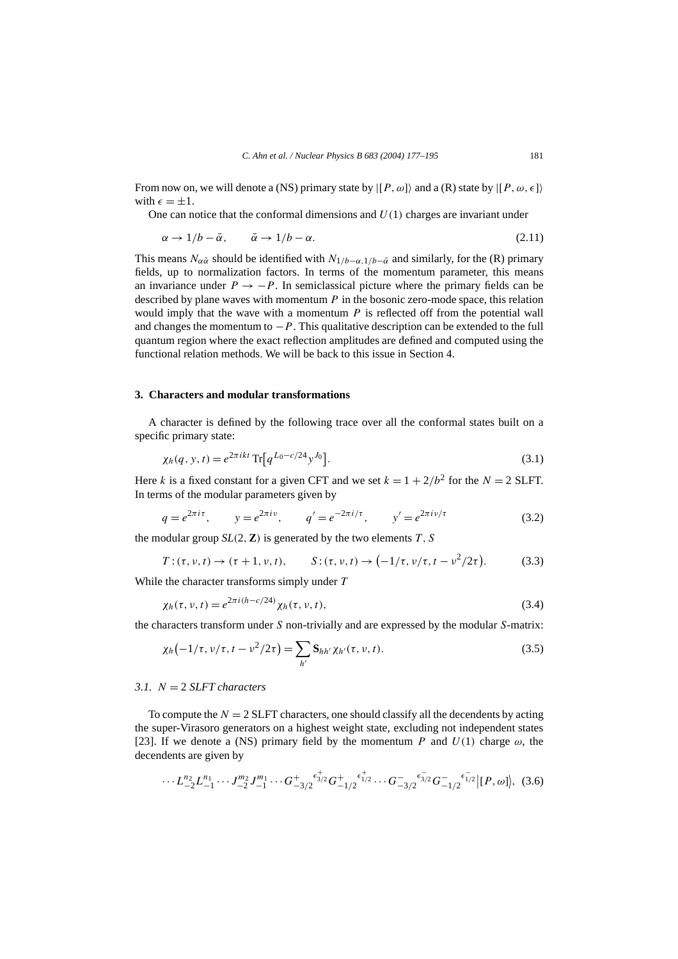From now on, we will denote a (NS) primary state by  $|P,\omega\rangle$  and a (R) state by  $|P,\omega,\epsilon\rangle$ with  $\epsilon = \pm 1$ .

One can notice that the conformal dimensions and  $U(1)$  charges are invariant under

$$
\alpha \to 1/b - \bar{\alpha}, \qquad \bar{\alpha} \to 1/b - \alpha. \tag{2.11}
$$

This means  $N_{\alpha\bar{\alpha}}$  should be identified with  $N_{1/b-\alpha,1/b-\bar{\alpha}}$  and similarly, for the (R) primary fields, up to normalization factors. In terms of the momentum parameter, this means an invariance under  $P \rightarrow -P$ . In semiclassical picture where the primary fields can be described by plane waves with momentum *P* in the bosonic zero-mode space, this relation would imply that the wave with a momentum *P* is reflected off from the potential wall and changes the momentum to  $-P$ . This qualitative description can be extended to the full quantum region where the exact reflection amplitudes are defined and computed using the functional relation methods. We will be back to this issue in Section 4.

## **3. Characters and modular transformations**

A character is defined by the following trace over all the conformal states built on a specific primary state:

$$
\chi_h(q, y, t) = e^{2\pi ikt} \operatorname{Tr} \left[ q^{L_0 - c/24} y^{J_0} \right]. \tag{3.1}
$$

Here *k* is a fixed constant for a given CFT and we set  $k = 1 + 2/b^2$  for the  $N = 2$  SLFT. In terms of the modular parameters given by

$$
q = e^{2\pi i \tau}
$$
,  $y = e^{2\pi i \nu}$ ,  $q' = e^{-2\pi i/\tau}$ ,  $y' = e^{2\pi i \nu/\tau}$  (3.2)

the modular group  $SL(2, \mathbb{Z})$  is generated by the two elements  $T, S$ 

$$
T: (\tau, \nu, t) \to (\tau + 1, \nu, t), \qquad S: (\tau, \nu, t) \to (-1/\tau, \nu/\tau, t - \nu^2/2\tau).
$$
 (3.3)

While the character transforms simply under *T*

$$
\chi_h(\tau, \nu, t) = e^{2\pi i (h - c/24)} \chi_h(\tau, \nu, t),
$$
\n(3.4)

the characters transform under *S* non-trivially and are expressed by the modular *S*-matrix:

$$
\chi_h(-1/\tau, \nu/\tau, t - \nu^2/2\tau) = \sum_{h'} \mathbf{S}_{hh'} \chi_{h'}(\tau, \nu, t).
$$
 (3.5)

# *3.1. N* = 2 *SLFT characters*

To compute the  $N = 2$  SLFT characters, one should classify all the decendents by acting the super-Virasoro generators on a highest weight state, excluding not independent states [23]. If we denote a (NS) primary field by the momentum *P* and  $U(1)$  charge  $\omega$ , the decendents are given by

$$
\cdots L_{-2}^{n_2} L_{-1}^{n_1} \cdots J_{-2}^{m_2} J_{-1}^{m_1} \cdots G_{-3/2}^+ \epsilon_{3/2}^+ G_{-1/2}^+ \epsilon_{1/2}^+ \cdots G_{-3/2}^- \epsilon_{3/2}^- G_{-1/2}^- \epsilon_{1/2}^- | [P, \omega] \rangle, (3.6)
$$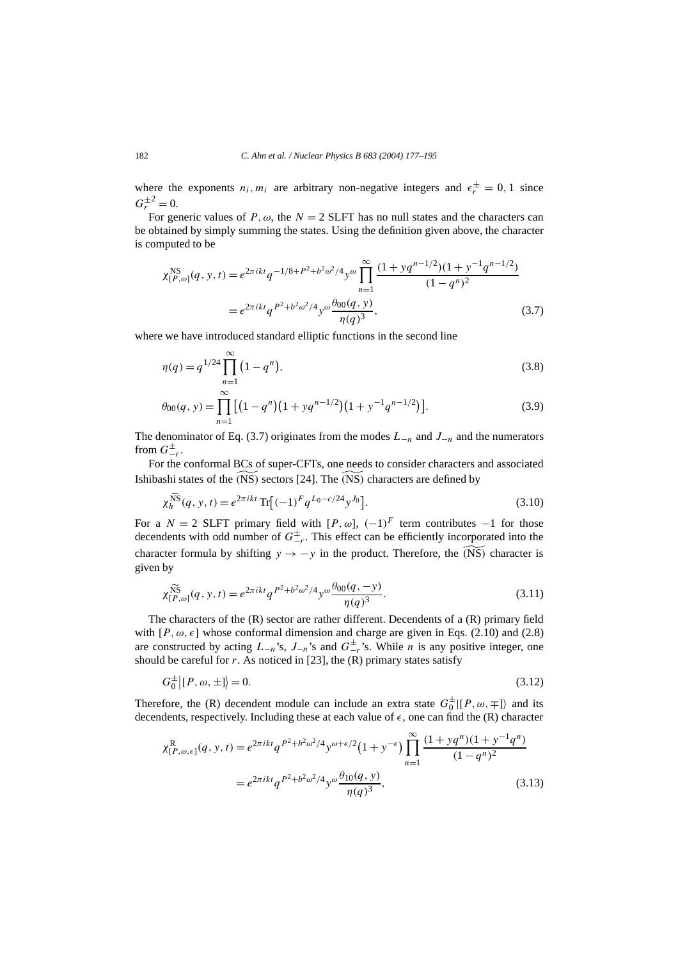where the exponents  $n_i$ ,  $m_i$  are arbitrary non-negative integers and  $\epsilon_r^{\pm} = 0, 1$  since  $G_r^{\pm 2} = 0.$ 

For generic values of  $P$ ,  $\omega$ , the  $N = 2$  SLFT has no null states and the characters can be obtained by simply summing the states. Using the definition given above, the character is computed to be

$$
\chi_{[P,\omega]}^{\text{NS}}(q, y, t) = e^{2\pi ikt} q^{-1/8 + P^2 + b^2 \omega^2/4} y^{\omega} \prod_{n=1}^{\infty} \frac{(1 + yq^{n-1/2})(1 + y^{-1}q^{n-1/2})}{(1 - q^n)^2}
$$
  
= 
$$
e^{2\pi ikt} q^{P^2 + b^2 \omega^2/4} y^{\omega} \frac{\theta_{00}(q, y)}{\eta(q)^3},
$$
(3.7)

where we have introduced standard elliptic functions in the second line

$$
\eta(q) = q^{1/24} \prod_{n=1}^{\infty} (1 - q^n),\tag{3.8}
$$

$$
\theta_{00}(q, y) = \prod_{n=1}^{\infty} \left[ \left( 1 - q^n \right) \left( 1 + y q^{n-1/2} \right) \left( 1 + y^{-1} q^{n-1/2} \right) \right]. \tag{3.9}
$$

The denominator of Eq. (3.7) originates from the modes *L*−*<sup>n</sup>* and *J*−*<sup>n</sup>* and the numerators from  $G_{-r}^{\pm}$ .

For the conformal BCs of super-CFTs, one needs to consider characters and associated Ishibashi states of the *(* NS*)* sectors [24]. The *(* NS*)* characters are defined by

$$
\chi_h^{\widetilde{\text{NS}}}(q, y, t) = e^{2\pi ikt} \operatorname{Tr} \left[ (-1)^F q^{L_0 - c/24} y^{J_0} \right]. \tag{3.10}
$$

For a  $N = 2$  SLFT primary field with  $[P, \omega]$ ,  $(-1)^F$  term contributes  $-1$  for those decendents with odd number of  $G_{-r}^{\pm}$ . This effect can be efficiently incorporated into the character formula by shifting *y*  $\rightarrow -y$  in the product. Therefore, the  $\widetilde{(NS)}$  character is given by

$$
\chi_{[P,\omega]}^{\widetilde{\text{NS}}}(q, y, t) = e^{2\pi ikt} q^{P^2 + b^2 \omega^2/4} y^{\omega} \frac{\theta_{00}(q, -y)}{\eta(q)^3}.
$$
\n(3.11)

The characters of the (R) sector are rather different. Decendents of a (R) primary field with  $[P, \omega, \epsilon]$  whose conformal dimension and charge are given in Eqs. (2.10) and (2.8) are constructed by acting  $L_{-n}$ 's,  $J_{-n}$ 's and  $G_{-n}^{\pm}$ 's. While *n* is any positive integer, one should be careful for  $r$ . As noticed in [23], the  $(R)$  primary states satisfy

$$
G_0^{\pm} | [P, \omega, \pm] \rangle = 0. \tag{3.12}
$$

Therefore, the (R) decendent module can include an extra state  $G_0^{\pm} | [P, \omega, \mp] \rangle$  and its decendents, respectively. Including these at each value of *&*, one can find the (R) character

$$
\chi_{[P,\omega,\epsilon]}^{R}(q, y, t) = e^{2\pi ikt} q^{P^2 + b^2 \omega^2/4} y^{\omega + \epsilon/2} (1 + y^{-\epsilon}) \prod_{n=1}^{\infty} \frac{(1 + yq^n)(1 + y^{-1}q^n)}{(1 - q^n)^2}
$$
  
= 
$$
e^{2\pi ikt} q^{P^2 + b^2 \omega^2/4} y^{\omega} \frac{\theta_{10}(q, y)}{\eta(q)^3},
$$
(3.13)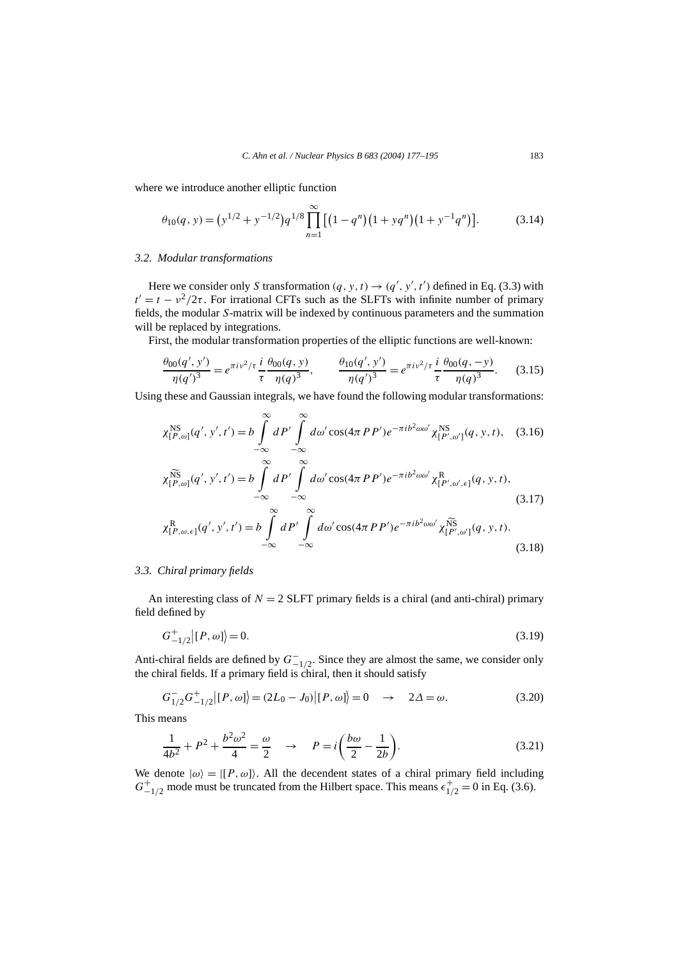where we introduce another elliptic function

$$
\theta_{10}(q, y) = (y^{1/2} + y^{-1/2})q^{1/8} \prod_{n=1}^{\infty} \left[ (1 - q^n)(1 + yq^n)(1 + y^{-1}q^n) \right].
$$
 (3.14)

#### *3.2. Modular transformations*

Here we consider only *S* transformation  $(q, y, t) \rightarrow (q', y', t')$  defined in Eq. (3.3) with  $t' = t - v^2/2\tau$ . For irrational CFTs such as the SLFTs with infinite number of primary fields, the modular *S*-matrix will be indexed by continuous parameters and the summation will be replaced by integrations.

First, the modular transformation properties of the elliptic functions are well-known:

$$
\frac{\theta_{00}(q',y')}{\eta(q')^3} = e^{\pi i v^2 / \tau} \frac{i}{\tau} \frac{\theta_{00}(q,y)}{\eta(q)^3}, \qquad \frac{\theta_{10}(q',y')}{\eta(q')^3} = e^{\pi i v^2 / \tau} \frac{i}{\tau} \frac{\theta_{00}(q,-y)}{\eta(q)^3}.
$$
 (3.15)

Using these and Gaussian integrals, we have found the following modular transformations:

$$
\chi_{[P,\omega]}^{\text{NS}}(q',y',t') = b \int_{-\infty}^{\infty} dP' \int_{-\infty}^{\infty} d\omega' \cos(4\pi PP') e^{-\pi i b^2 \omega \omega'} \chi_{[P',\omega']}^{\text{NS}}(q,y,t), \quad (3.16)
$$

$$
\chi_{[P,\omega]}^{\widetilde{\text{NS}}}(q',y',t') = b \int_{-\infty}^{\infty} dP' \int_{-\infty}^{\infty} d\omega' \cos(4\pi PP') e^{-\pi i b^2 \omega \omega'} \chi_{[P',\omega',\epsilon]}^{\mathbf{R}}(q,y,t),
$$
\n(3.17)

$$
\chi_{[P,\omega,\epsilon]}^{R}(q',y',t') = b \int_{-\infty}^{\infty} dP' \int_{-\infty}^{\infty} d\omega' \cos(4\pi PP') e^{-\pi i b^2 \omega \omega'} \chi_{[P',\omega']}^{\widetilde{N}\widetilde{S}}(q,y,t).
$$
\n(3.18)

### *3.3. Chiral primary fields*

An interesting class of  $N = 2$  SLFT primary fields is a chiral (and anti-chiral) primary field defined by

$$
G_{-1/2}^+|[P,\omega]] = 0.\tag{3.19}
$$

Anti-chiral fields are defined by  $G^-_{-1/2}$ . Since they are almost the same, we consider only the chiral fields. If a primary field is chiral, then it should satisfy

$$
G_{1/2}^{-}G_{-1/2}^{+}[P,\omega]] = (2L_0 - J_0)[P,\omega]] = 0 \rightarrow 2\Delta = \omega.
$$
 (3.20)

This means

$$
\frac{1}{4b^2} + P^2 + \frac{b^2 \omega^2}{4} = \frac{\omega}{2} \quad \to \quad P = i \left( \frac{b \omega}{2} - \frac{1}{2b} \right).
$$
 (3.21)

We denote  $|\omega\rangle = |[P, \omega]\rangle$ . All the decendent states of a chiral primary field including  $G_{-1/2}^+$  mode must be truncated from the Hilbert space. This means  $\epsilon_{1/2}^+ = 0$  in Eq. (3.6).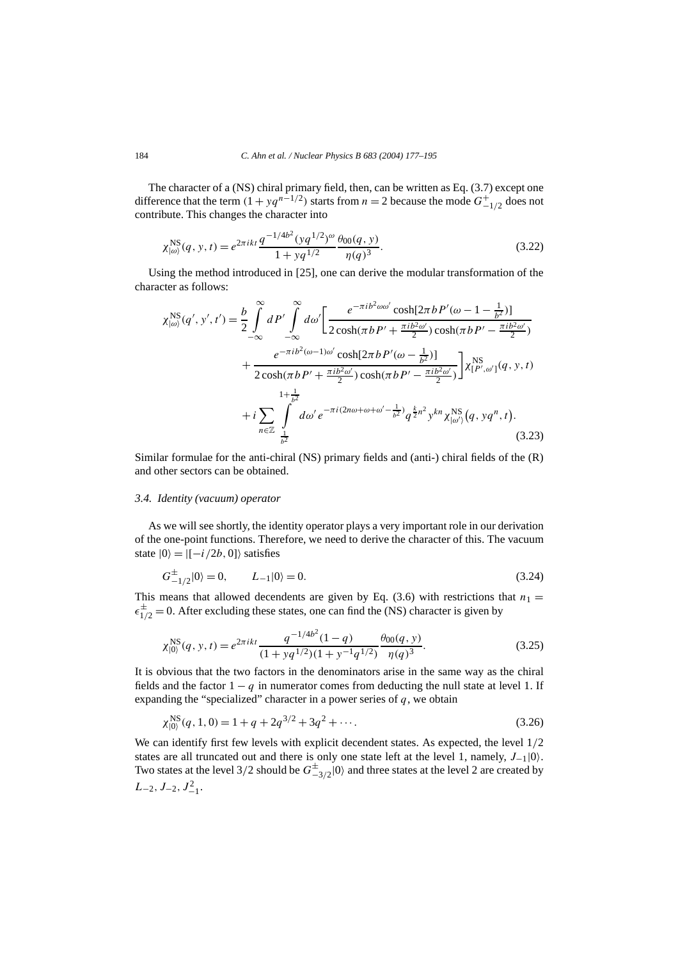The character of a (NS) chiral primary field, then, can be written as Eq. (3.7) except one difference that the term  $(1 + yq^{n-1/2})$  starts from  $n = 2$  because the mode  $G_{-1/2}^+$  does not contribute. This changes the character into

$$
\chi_{|\omega\rangle}^{\text{NS}}(q, y, t) = e^{2\pi ikt} \frac{q^{-1/4b^2} (yq^{1/2})^{\omega}}{1 + yq^{1/2}} \frac{\theta_{00}(q, y)}{\eta(q)^3}.
$$
\n(3.22)

Using the method introduced in [25], one can derive the modular transformation of the character as follows:

$$
\chi_{|\omega\rangle}^{\text{NS}}(q',y',t') = \frac{b}{2} \int_{-\infty}^{\infty} dP' \int_{-\infty}^{\infty} d\omega' \left[ \frac{e^{-\pi i b^2 \omega \omega'} \cosh[2\pi b P'(\omega - 1 - \frac{1}{b^2})]}{2 \cosh(\pi b P' + \frac{\pi i b^2 \omega'}{2}) \cosh(\pi b P' - \frac{\pi i b^2 \omega'}{2})} + \frac{e^{-\pi i b^2 (\omega - 1)\omega'} \cosh[2\pi b P'(\omega - \frac{1}{b^2})]}{2 \cosh(\pi b P' + \frac{\pi i b^2 \omega'}{2}) \cosh(\pi b P' - \frac{\pi i b^2 \omega'}{2})} \right] \chi_{[P',\omega']}^{\text{NS}}(q, y, t) + i \sum_{n \in \mathbb{Z}} \int_{\frac{1}{b^2}}^{\infty} d\omega' e^{-\pi i (2n\omega + \omega + \omega' - \frac{1}{b^2})} q^{\frac{k}{2}n^2} y^{kn} \chi_{[\omega']}^{\text{NS}}(q, yq^n, t). \tag{3.23}
$$

Similar formulae for the anti-chiral (NS) primary fields and (anti-) chiral fields of the (R) and other sectors can be obtained.

#### *3.4. Identity (vacuum) operator*

As we will see shortly, the identity operator plays a very important role in our derivation of the one-point functions. Therefore, we need to derive the character of this. The vacuum state  $|0\rangle = |(-i/2b, 0]\rangle$  satisfies

$$
G_{-1/2}^{\pm}|0\rangle = 0, \qquad L_{-1}|0\rangle = 0. \tag{3.24}
$$

This means that allowed decendents are given by Eq. (3.6) with restrictions that  $n_1 =$  $\epsilon_{1/2}^{\pm}$  = 0. After excluding these states, one can find the (NS) character is given by

$$
\chi_{|0\rangle}^{\text{NS}}(q, y, t) = e^{2\pi ikt} \frac{q^{-1/4b^2}(1-q)}{(1+yq^{1/2})(1+y^{-1}q^{1/2})} \frac{\theta_{00}(q, y)}{\eta(q)^3}.
$$
\n(3.25)

It is obvious that the two factors in the denominators arise in the same way as the chiral fields and the factor  $1 - q$  in numerator comes from deducting the null state at level 1. If expanding the "specialized" character in a power series of  $q$ , we obtain

$$
\chi_{|0\rangle}^{\text{NS}}(q, 1, 0) = 1 + q + 2q^{3/2} + 3q^2 + \cdots. \tag{3.26}
$$

We can identify first few levels with explicit decendent states. As expected, the level 1*/*2 states are all truncated out and there is only one state left at the level 1, namely,  $J_{-1}|0\rangle$ . Two states at the level 3/2 should be  $G_{-3/2}^{\pm}|0\rangle$  and three states at the level 2 are created by  $L_{-2}, J_{-2}, J_{-1}^2$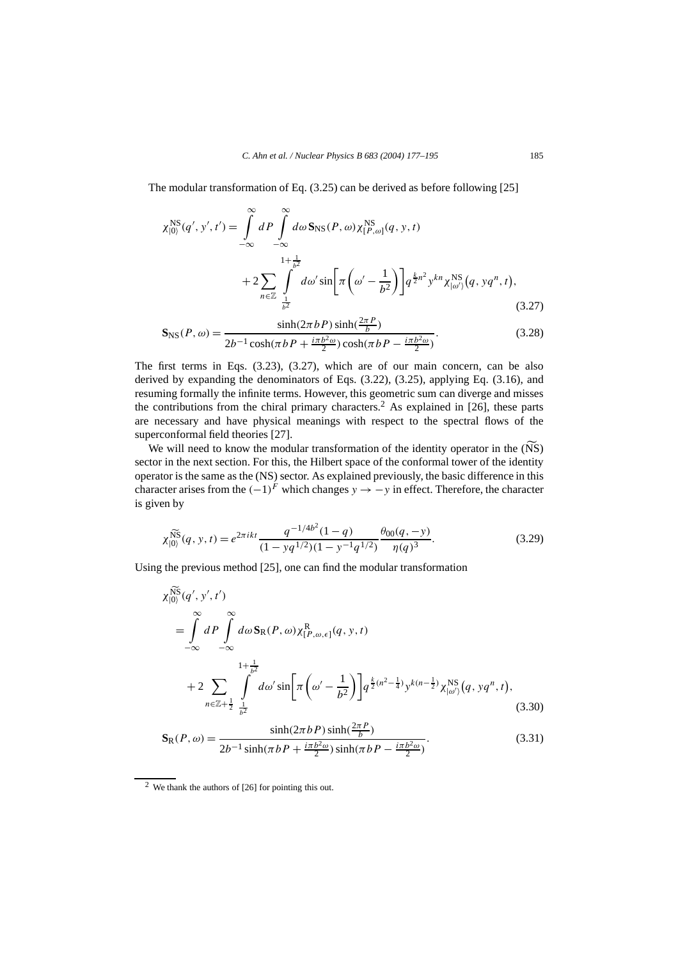The modular transformation of Eq. (3.25) can be derived as before following [25]

$$
\chi_{|0\rangle}^{\text{NS}}(q', y', t') = \int_{-\infty}^{\infty} dP \int_{-\infty}^{\infty} d\omega \, \mathbf{S}_{\text{NS}}(P, \omega) \chi_{[P, \omega]}^{\text{NS}}(q, y, t) \n+ 2 \sum_{n \in \mathbb{Z}} \int_{\frac{1}{b^2}}^{1 + \frac{1}{b^2}} d\omega' \sin \left[ \pi \left( \omega' - \frac{1}{b^2} \right) \right] q^{\frac{k}{2}n^2} y^{kn} \chi_{\substack{|0\rangle\\}^{\text{NS}}}(q, yq^n, t),
$$
\n(3.27)

$$
\mathbf{S}_{\rm NS}(P,\omega) = \frac{\sinh(2\pi b \, P)\sinh(\frac{2\pi P}{b})}{2b^{-1}\cosh(\pi b \, P + \frac{i\pi b^2 \omega}{2})\cosh(\pi b \, P - \frac{i\pi b^2 \omega}{2})}.\tag{3.28}
$$

The first terms in Eqs. (3.23), (3.27), which are of our main concern, can be also derived by expanding the denominators of Eqs. (3.22), (3.25), applying Eq. (3.16), and resuming formally the infinite terms. However, this geometric sum can diverge and misses the contributions from the chiral primary characters.<sup>2</sup> As explained in [26], these parts are necessary and have physical meanings with respect to the spectral flows of the superconformal field theories [27].

We will need to know the modular transformation of the identity operator in the (NS) sector in the next section. For this, the Hilbert space of the conformal tower of the identity operator is the same as the (NS) sector. As explained previously, the basic difference in this character arises from the  $(-1)^F$  which changes  $y \to -y$  in effect. Therefore, the character is given by

$$
\chi_{|0\rangle}^{\widetilde{\text{NS}}}(q, y, t) = e^{2\pi ikt} \frac{q^{-1/4b^2}(1-q)}{(1 - yq^{1/2})(1 - y^{-1}q^{1/2})} \frac{\theta_{00}(q, -y)}{\eta(q)^3}.
$$
\n(3.29)

Using the previous method [25], one can find the modular transformation

$$
\chi_{[0)}^{\widetilde{NS}}(q', y', t') = \int_{-\infty}^{\infty} dP \int_{-\infty}^{\infty} d\omega \, \mathbf{S}_{R}(P, \omega) \chi_{[P, \omega, \epsilon]}^{R}(q, y, t) \n+ 2 \sum_{n \in \mathbb{Z} + \frac{1}{2}} \int_{\frac{1}{b^{2}}}^{1 + \frac{1}{b^{2}}} d\omega' \sin \left[ \pi \left( \omega' - \frac{1}{b^{2}} \right) \right] q^{\frac{k}{2}(n^{2} - \frac{1}{4})} y^{k(n - \frac{1}{2})} \chi_{[\omega']}^{NS}(q, yq^{n}, t),
$$
\n(3.30)

$$
\mathbf{S}_{R}(P,\omega) = \frac{\sinh(2\pi bP)\sinh(\frac{2\pi P}{b})}{2b^{-1}\sinh(\pi bP + \frac{i\pi b^2\omega}{2})\sinh(\pi bP - \frac{i\pi b^2\omega}{2})}.
$$
(3.31)

<sup>2</sup> We thank the authors of [26] for pointing this out.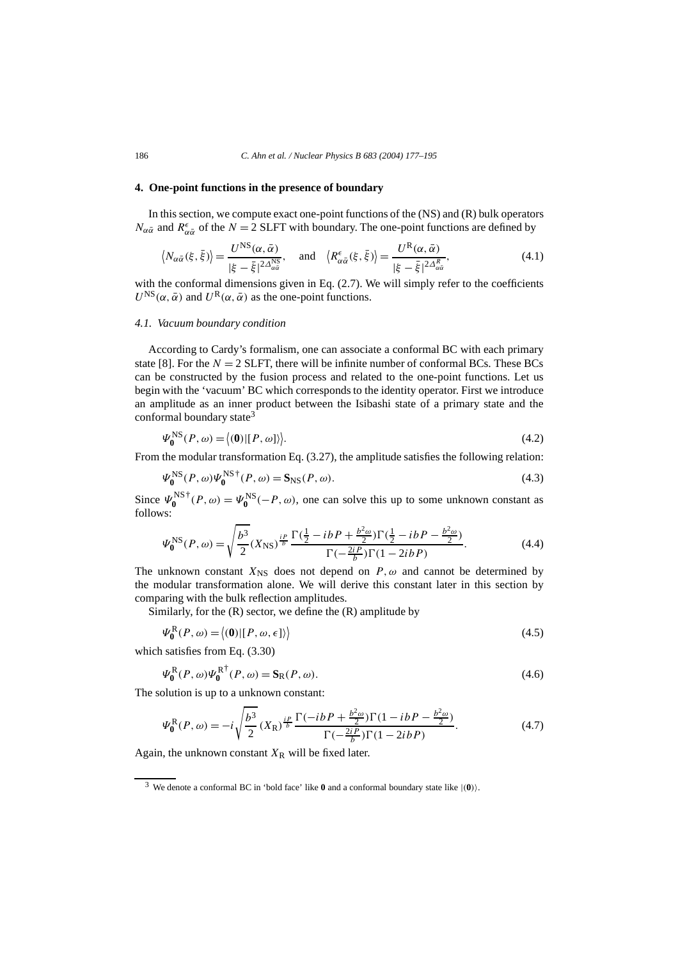## **4. One-point functions in the presence of boundary**

In this section, we compute exact one-point functions of the  $(NS)$  and  $(R)$  bulk operators *N*<sub>α $\bar{\alpha}$ </sub> and  $R^{\epsilon}_{\alpha \bar{\alpha}}$  of the *N* = 2 SLFT with boundary. The one-point functions are defined by

$$
\left\langle N_{\alpha\bar{\alpha}}(\xi,\bar{\xi})\right\rangle = \frac{U^{\rm NS}(\alpha,\bar{\alpha})}{|\xi-\bar{\xi}|^{2\Delta_{\alpha\bar{\alpha}}^{\rm NS}}},\quad\text{and}\quad \left\langle R_{\alpha\bar{\alpha}}^{\epsilon}(\xi,\bar{\xi})\right\rangle = \frac{U^{\rm R}(\alpha,\bar{\alpha})}{|\xi-\bar{\xi}|^{2\Delta_{\alpha\bar{\alpha}}^R}},\tag{4.1}
$$

with the conformal dimensions given in Eq. (2.7). We will simply refer to the coefficients  $U^{\text{NS}}(\alpha, \bar{\alpha})$  and  $U^{\text{R}}(\alpha, \bar{\alpha})$  as the one-point functions.

#### *4.1. Vacuum boundary condition*

According to Cardy's formalism, one can associate a conformal BC with each primary state [8]. For the  $N = 2$  SLFT, there will be infinite number of conformal BCs. These BCs can be constructed by the fusion process and related to the one-point functions. Let us begin with the 'vacuum' BC which corresponds to the identity operator. First we introduce an amplitude as an inner product between the Isibashi state of a primary state and the conformal boundary state<sup>3</sup>

$$
\Psi_0^{\text{NS}}(P,\omega) = \langle 0 | [P,\omega] \rangle \rangle. \tag{4.2}
$$

From the modular transformation Eq. (3.27), the amplitude satisfies the following relation:

$$
\Psi_0^{\text{NS}}(P,\omega)\Psi_0^{\text{NS}\dagger}(P,\omega) = \mathbf{S}_{\text{NS}}(P,\omega). \tag{4.3}
$$

Since  $\Psi_0^{\text{NS}^+}(P,\omega) = \Psi_0^{\text{NS}}(-P,\omega)$ , one can solve this up to some unknown constant as follows:

$$
\Psi_0^{\text{NS}}(P,\omega) = \sqrt{\frac{b^3}{2}} (X_{\text{NS}})^{\frac{ip}{b}} \frac{\Gamma(\frac{1}{2} - ibP + \frac{b^2\omega}{2}) \Gamma(\frac{1}{2} - ibP - \frac{b^2\omega}{2})}{\Gamma(-\frac{2iP}{b}) \Gamma(1 - 2ibP)}.
$$
(4.4)

The unknown constant  $X_{\text{NS}}$  does not depend on  $P, \omega$  and cannot be determined by the modular transformation alone. We will derive this constant later in this section by comparing with the bulk reflection amplitudes.

Similarly, for the  $(R)$  sector, we define the  $(R)$  amplitude by

$$
\Psi_0^{\mathcal{R}}(P,\omega) = \langle 0 | [P,\omega,\epsilon] \rangle \tag{4.5}
$$

which satisfies from Eq. (3.30)

$$
\Psi_0^{\mathcal{R}}(P,\omega)\Psi_0^{\mathcal{R}^{\dagger}}(P,\omega) = \mathbf{S}_{\mathcal{R}}(P,\omega). \tag{4.6}
$$

The solution is up to a unknown constant:

$$
\Psi_0^R(P,\omega) = -i\sqrt{\frac{b^3}{2}} (X_R)^{\frac{ip}{b}} \frac{\Gamma(-ibP + \frac{b^2\omega}{2})\Gamma(1 - ibP - \frac{b^2\omega}{2})}{\Gamma(-\frac{2iP}{b})\Gamma(1 - 2ibP)}.
$$
\n(4.7)

Again, the unknown constant  $X_R$  will be fixed later.

<sup>3</sup> We denote a conformal BC in 'bold face' like **<sup>0</sup>** and a conformal boundary state like <sup>|</sup>*(***0***)*.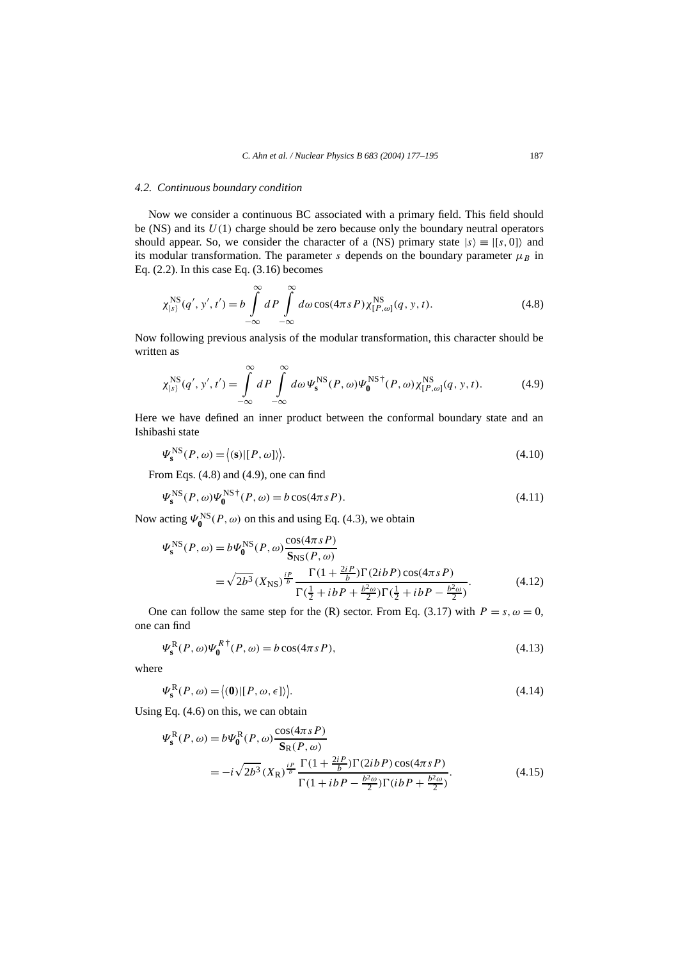## *4.2. Continuous boundary condition*

Now we consider a continuous BC associated with a primary field. This field should be (NS) and its  $U(1)$  charge should be zero because only the boundary neutral operators should appear. So, we consider the character of a (NS) primary state  $|s\rangle \equiv |[s, 0]\rangle$  and its modular transformation. The parameter *s* depends on the boundary parameter  $\mu_B$  in Eq.  $(2.2)$ . In this case Eq.  $(3.16)$  becomes

$$
\chi_{\left|s\right\rangle}^{NS}(q',y',t') = b \int\limits_{-\infty}^{\infty} dP \int\limits_{-\infty}^{\infty} d\omega \cos(4\pi s P) \chi_{\left[P,\omega\right]}^{NS}(q,y,t). \tag{4.8}
$$

Now following previous analysis of the modular transformation, this character should be written as

$$
\chi_{\left|s\right\rangle}^{NS}(q',y',t') = \int\limits_{-\infty}^{\infty} dP \int\limits_{-\infty}^{\infty} d\omega \Psi_{s}^{NS}(P,\omega) \Psi_{0}^{NS^{\dagger}}(P,\omega) \chi_{\left[P,\omega\right\rbrace}^{NS}(q,y,t). \tag{4.9}
$$

Here we have defined an inner product between the conformal boundary state and an Ishibashi state

$$
\Psi_{\mathbf{s}}^{\text{NS}}(P,\omega) = \langle (\mathbf{s}) | [P,\omega] \rangle \rangle. \tag{4.10}
$$

From Eqs. (4.8) and (4.9), one can find

$$
\Psi_s^{\text{NS}}(P,\omega)\Psi_0^{\text{NS}\dagger}(P,\omega) = b\cos(4\pi sP). \tag{4.11}
$$

Now acting  $\Psi_0^{\text{NS}}(P,\omega)$  on this and using Eq. (4.3), we obtain

$$
\Psi_{s}^{\text{NS}}(P,\omega) = b\Psi_{0}^{\text{NS}}(P,\omega)\frac{\cos(4\pi sP)}{\mathbf{S}_{\text{NS}}(P,\omega)}
$$
  
=  $\sqrt{2b^{3}}(X_{\text{NS}})^{\frac{iP}{b}}\frac{\Gamma(1+\frac{2iP}{b})\Gamma(2ibP)\cos(4\pi sP)}{\Gamma(\frac{1}{2}+ibP+\frac{b^{2}\omega}{2})\Gamma(\frac{1}{2}+ibP-\frac{b^{2}\omega}{2})}$ . (4.12)

One can follow the same step for the (R) sector. From Eq. (3.17) with  $P = s, \omega = 0$ , one can find

$$
\Psi_{\mathbf{s}}^{\mathbf{R}}(P,\omega)\Psi_{\mathbf{0}}^{R\dagger}(P,\omega) = b\cos(4\pi sP),\tag{4.13}
$$

where

$$
\Psi_{\mathbf{s}}^{\mathbf{R}}(P,\omega) = \langle (\mathbf{0}) | [P,\omega,\epsilon] \rangle \rangle. \tag{4.14}
$$

Using Eq. (4.6) on this, we can obtain

$$
\Psi_{\mathbf{s}}^{R}(P,\omega) = b\Psi_{\mathbf{0}}^{R}(P,\omega)\frac{\cos(4\pi sP)}{\mathbf{S}_{R}(P,\omega)}
$$
  
= 
$$
-i\sqrt{2b^{3}}(X_{R})^{\frac{IP}{b}}\frac{\Gamma(1+\frac{2iP}{b})\Gamma(2ibP)\cos(4\pi sP)}{\Gamma(1+ibP-\frac{b^{2}\omega}{2})\Gamma(ibP+\frac{b^{2}\omega}{2})}
$$
(4.15)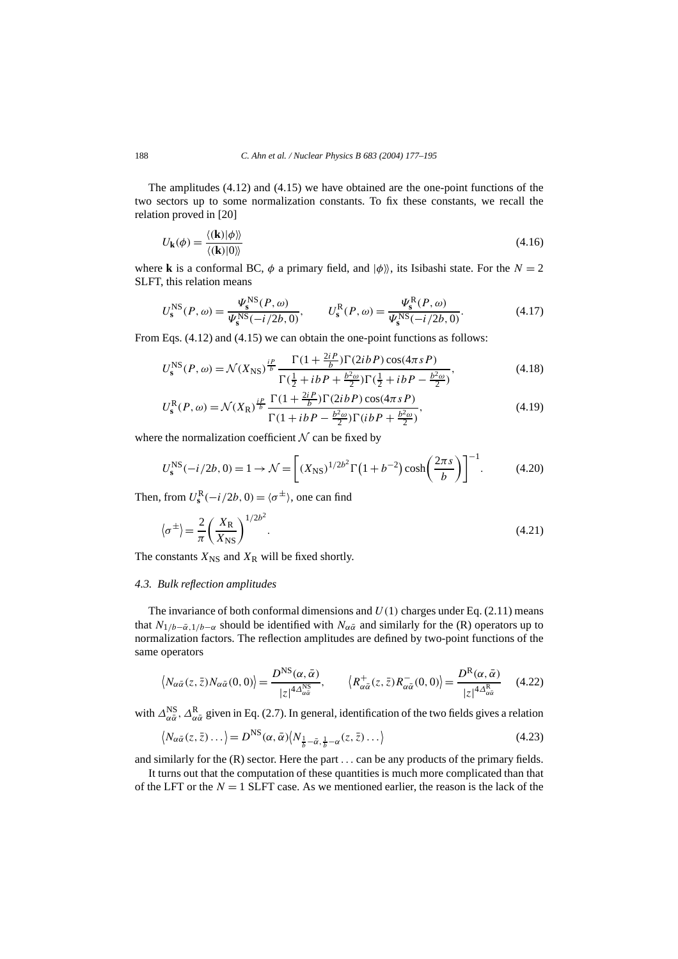The amplitudes (4.12) and (4.15) we have obtained are the one-point functions of the two sectors up to some normalization constants. To fix these constants, we recall the relation proved in [20]

$$
U_{\mathbf{k}}(\phi) = \frac{\langle (\mathbf{k}) | \phi \rangle \rangle}{\langle (\mathbf{k}) | 0 \rangle}
$$
(4.16)

where **k** is a conformal BC,  $\phi$  a primary field, and  $|\phi\rangle$ , its Isibashi state. For the  $N = 2$ SLFT, this relation means

$$
U_s^{\rm NS}(P,\omega) = \frac{\Psi_s^{\rm NS}(P,\omega)}{\Psi_s^{\rm NS}(-i/2b,0)}, \qquad U_s^{\rm R}(P,\omega) = \frac{\Psi_s^{\rm R}(P,\omega)}{\Psi_s^{\rm NS}(-i/2b,0)}.
$$
(4.17)

From Eqs.  $(4.12)$  and  $(4.15)$  we can obtain the one-point functions as follows:

$$
U_{\rm s}^{\rm NS}(P,\omega) = \mathcal{N}(X_{\rm NS})^{\frac{ip}{b}} \frac{\Gamma(1 + \frac{2iP}{b})\Gamma(2ibP)\cos(4\pi sP)}{\Gamma(\frac{1}{2} + ibP + \frac{b^2\omega}{2})\Gamma(\frac{1}{2} + ibP - \frac{b^2\omega}{2})},\tag{4.18}
$$

$$
U_s^{\mathcal{R}}(P,\omega) = \mathcal{N}(X_{\mathcal{R}})^{\frac{ip}{b}} \frac{\Gamma(1 + \frac{2iP}{b})\Gamma(2ibP)\cos(4\pi sP)}{\Gamma(1 + ibP - \frac{b^2\omega}{2})\Gamma(ibP + \frac{b^2\omega}{2})},\tag{4.19}
$$

where the normalization coefficient  $N$  can be fixed by

$$
U_s^{\text{NS}}(-i/2b, 0) = 1 \to \mathcal{N} = \left[ (X_{\text{NS}})^{1/2b^2} \Gamma(1 + b^{-2}) \cosh\left(\frac{2\pi s}{b}\right) \right]^{-1}.
$$
 (4.20)

Then, from  $U_s^{\rm R}(-i/2b, 0) = \langle \sigma^{\pm} \rangle$ , one can find

$$
\langle \sigma^{\pm} \rangle = \frac{2}{\pi} \left( \frac{X_{\rm R}}{X_{\rm NS}} \right)^{1/2b^2}.
$$
 (4.21)

The constants  $X_{\text{NS}}$  and  $X_{\text{R}}$  will be fixed shortly.

#### *4.3. Bulk reflection amplitudes*

The invariance of both conformal dimensions and  $U(1)$  charges under Eq. (2.11) means that  $N_{1/b-\bar{\alpha},1/b-\alpha}$  should be identified with  $N_{\alpha\bar{\alpha}}$  and similarly for the (R) operators up to normalization factors. The reflection amplitudes are defined by two-point functions of the same operators

$$
\langle N_{\alpha\bar{\alpha}}(z,\bar{z})N_{\alpha\bar{\alpha}}(0,0)\rangle = \frac{D^{\rm NS}(\alpha,\bar{\alpha})}{|z|^{4\Delta_{\alpha\bar{\alpha}}^{\rm NS}}}, \qquad \langle R^+_{\alpha\bar{\alpha}}(z,\bar{z})R^-_{\alpha\bar{\alpha}}(0,0)\rangle = \frac{D^{\rm R}(\alpha,\bar{\alpha})}{|z|^{4\Delta_{\alpha\bar{\alpha}}^{\rm R}}} \qquad (4.22)
$$

with  $\Delta_{\alpha\bar{\alpha}}^{NS}$ ,  $\Delta_{\alpha\bar{\alpha}}^{R}$  given in Eq. (2.7). In general, identification of the two fields gives a relation

$$
\langle N_{\alpha\bar{\alpha}}(z,\bar{z})\dots\rangle = D^{\rm NS}(\alpha,\bar{\alpha})\langle N_{\frac{1}{b}-\bar{\alpha},\frac{1}{b}-\alpha}(z,\bar{z})\dots\rangle \tag{4.23}
$$

and similarly for the (R) sector. Here the part *...* can be any products of the primary fields.

It turns out that the computation of these quantities is much more complicated than that of the LFT or the  $N = 1$  SLFT case. As we mentioned earlier, the reason is the lack of the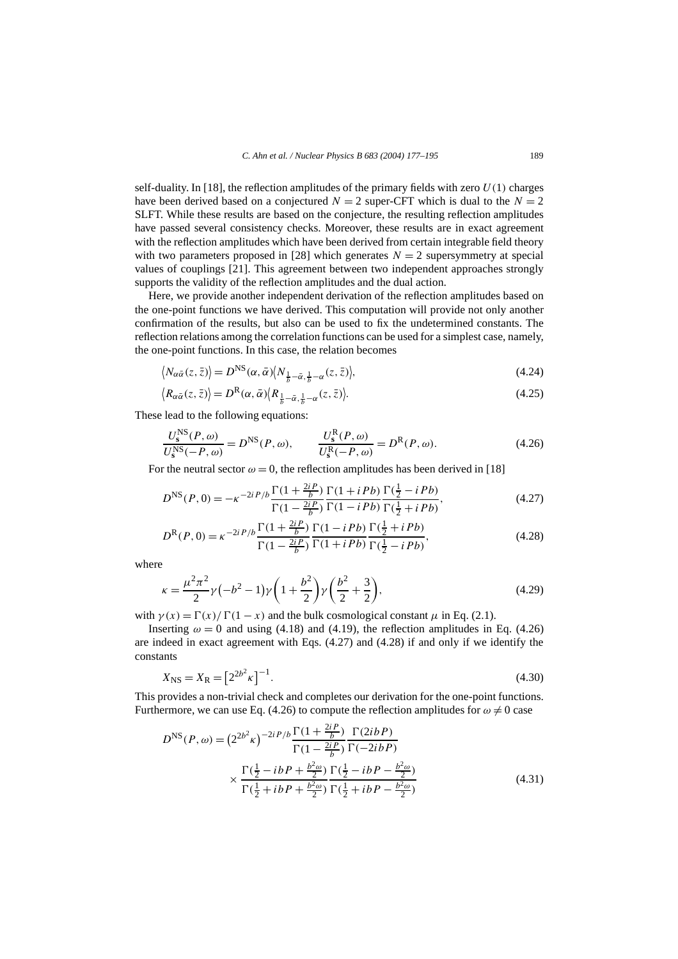self-duality. In [18], the reflection amplitudes of the primary fields with zero  $U(1)$  charges have been derived based on a conjectured  $N = 2$  super-CFT which is dual to the  $N = 2$ SLFT. While these results are based on the conjecture, the resulting reflection amplitudes have passed several consistency checks. Moreover, these results are in exact agreement with the reflection amplitudes which have been derived from certain integrable field theory with two parameters proposed in [28] which generates  $N = 2$  supersymmetry at special values of couplings [21]. This agreement between two independent approaches strongly supports the validity of the reflection amplitudes and the dual action.

Here, we provide another independent derivation of the reflection amplitudes based on the one-point functions we have derived. This computation will provide not only another confirmation of the results, but also can be used to fix the undetermined constants. The reflection relations among the correlation functions can be used for a simplest case, namely, the one-point functions. In this case, the relation becomes

$$
\langle N_{\alpha\bar{\alpha}}(z,\bar{z})\rangle = D^{\rm NS}(\alpha,\bar{\alpha})\langle N_{\frac{1}{b}-\bar{\alpha},\frac{1}{b}-\alpha}(z,\bar{z})\rangle, \tag{4.24}
$$

$$
\langle R_{\alpha\bar{\alpha}}(z,\bar{z})\rangle = D^{\mathcal{R}}(\alpha,\bar{\alpha})\langle R_{\frac{1}{b}-\bar{\alpha},\frac{1}{b}-\alpha}(z,\bar{z})\rangle. \tag{4.25}
$$

These lead to the following equations:

$$
\frac{U_s^{\text{NS}}(P,\omega)}{U_s^{\text{NS}}(-P,\omega)} = D^{\text{NS}}(P,\omega), \qquad \frac{U_s^{\text{R}}(P,\omega)}{U_s^{\text{R}}(-P,\omega)} = D^{\text{R}}(P,\omega). \tag{4.26}
$$

For the neutral sector  $\omega = 0$ , the reflection amplitudes has been derived in [18]

$$
D^{\rm NS}(P,0) = -\kappa^{-2i} P/b \frac{\Gamma(1 + \frac{2iP}{b})}{\Gamma(1 - \frac{2iP}{b})} \frac{\Gamma(1 + iPb)}{\Gamma(1 - iPb)} \frac{\Gamma(\frac{1}{2} - iPb)}{\Gamma(\frac{1}{2} + iPb)},
$$
(4.27)

$$
D^{R}(P,0) = \kappa^{-2i} P/b \frac{\Gamma(1 + \frac{2iP}{b})}{\Gamma(1 - \frac{2iP}{b})} \frac{\Gamma(1 - iPb)}{\Gamma(1 + iPb)} \frac{\Gamma(\frac{1}{2} + iPb)}{\Gamma(\frac{1}{2} - iPb)},
$$
(4.28)

where

$$
\kappa = \frac{\mu^2 \pi^2}{2} \gamma \left( -b^2 - 1 \right) \gamma \left( 1 + \frac{b^2}{2} \right) \gamma \left( \frac{b^2}{2} + \frac{3}{2} \right),\tag{4.29}
$$

with  $\gamma(x) = \Gamma(x)/\Gamma(1-x)$  and the bulk cosmological constant  $\mu$  in Eq. (2.1).

Inserting  $\omega = 0$  and using (4.18) and (4.19), the reflection amplitudes in Eq. (4.26) are indeed in exact agreement with Eqs. (4.27) and (4.28) if and only if we identify the constants

$$
X_{\rm NS} = X_{\rm R} = \left[2^{2b^2}\kappa\right]^{-1}.\tag{4.30}
$$

This provides a non-trivial check and completes our derivation for the one-point functions. Furthermore, we can use Eq. (4.26) to compute the reflection amplitudes for  $\omega \neq 0$  case

$$
D^{\rm NS}(P,\omega) = (2^{2b^2}\kappa)^{-2iP/b} \frac{\Gamma(1+\frac{2iP}{b})}{\Gamma(1-\frac{2iP}{b})} \frac{\Gamma(2ibP)}{\Gamma(-2ibP)}
$$

$$
\times \frac{\Gamma(\frac{1}{2}-ibP+\frac{b^2\omega}{2})}{\Gamma(\frac{1}{2}+ibP+\frac{b^2\omega}{2})} \frac{\Gamma(\frac{1}{2}-ibP-\frac{b^2\omega}{2})}{\Gamma(\frac{1}{2}+ibP-\frac{b^2\omega}{2})}
$$
(4.31)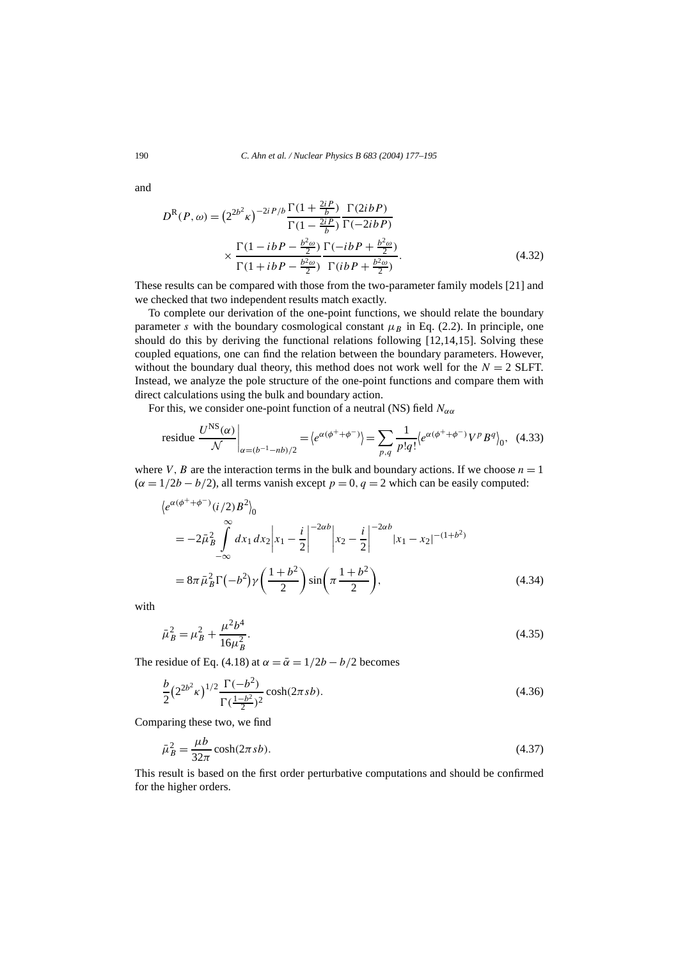and

$$
D^{R}(P,\omega) = (2^{2b^{2}}\kappa)^{-2iP/b} \frac{\Gamma(1 + \frac{2iP}{b})}{\Gamma(1 - \frac{2iP}{b})} \frac{\Gamma(2ibP)}{\Gamma(-2ibP)}
$$

$$
\times \frac{\Gamma(1 - ibP - \frac{b^{2}\omega}{2})}{\Gamma(1 + ibP - \frac{b^{2}\omega}{2})} \frac{\Gamma(-ibP + \frac{b^{2}\omega}{2})}{\Gamma(ibP + \frac{b^{2}\omega}{2})}.
$$
(4.32)

These results can be compared with those from the two-parameter family models [21] and we checked that two independent results match exactly.

To complete our derivation of the one-point functions, we should relate the boundary parameter *s* with the boundary cosmological constant  $\mu_B$  in Eq. (2.2). In principle, one should do this by deriving the functional relations following [12,14,15]. Solving these coupled equations, one can find the relation between the boundary parameters. However, without the boundary dual theory, this method does not work well for the  $N = 2$  SLFT. Instead, we analyze the pole structure of the one-point functions and compare them with direct calculations using the bulk and boundary action.

For this, we consider one-point function of a neutral (NS) field  $N_{\alpha\alpha}$ 

residue 
$$
\frac{U^{\text{NS}}(\alpha)}{\mathcal{N}}\bigg|_{\alpha=(b^{-1}-nb)/2} = \left\langle e^{\alpha(\phi^++\phi^-)}\right\rangle = \sum_{p,q} \frac{1}{p!q!} \left\langle e^{\alpha(\phi^++\phi^-)} V^p B^q \right\rangle_0
$$
, (4.33)

where *V*, *B* are the interaction terms in the bulk and boundary actions. If we choose  $n = 1$  $(\alpha = 1/2b - b/2)$ , all terms vanish except  $p = 0$ ,  $q = 2$  which can be easily computed:

$$
\langle e^{\alpha(\phi^+ + \phi^-)}(i/2)B^2 \rangle_0
$$
  
=  $-2\bar{\mu}_B^2 \int_{-\infty}^{\infty} dx_1 dx_2 \Big| x_1 - \frac{i}{2} \Big|^{-2\alpha b} \Big| x_2 - \frac{i}{2} \Big|^{-2\alpha b} |x_1 - x_2|^{-(1+b^2)}$   
=  $8\pi \bar{\mu}_B^2 \Gamma(-b^2) \gamma \left( \frac{1+b^2}{2} \right) \sin \left( \pi \frac{1+b^2}{2} \right),$  (4.34)

with

$$
\bar{\mu}_B^2 = \mu_B^2 + \frac{\mu^2 b^4}{16\mu_B^2}.\tag{4.35}
$$

The residue of Eq. (4.18) at  $\alpha = \bar{\alpha} = 1/2b - b/2$  becomes

$$
\frac{b}{2} \left( 2^{2b^2} \kappa \right)^{1/2} \frac{\Gamma(-b^2)}{\Gamma(\frac{1-b^2}{2})^2} \cosh(2\pi s b). \tag{4.36}
$$

Comparing these two, we find

$$
\bar{\mu}_B^2 = \frac{\mu b}{32\pi} \cosh(2\pi s b). \tag{4.37}
$$

This result is based on the first order perturbative computations and should be confirmed for the higher orders.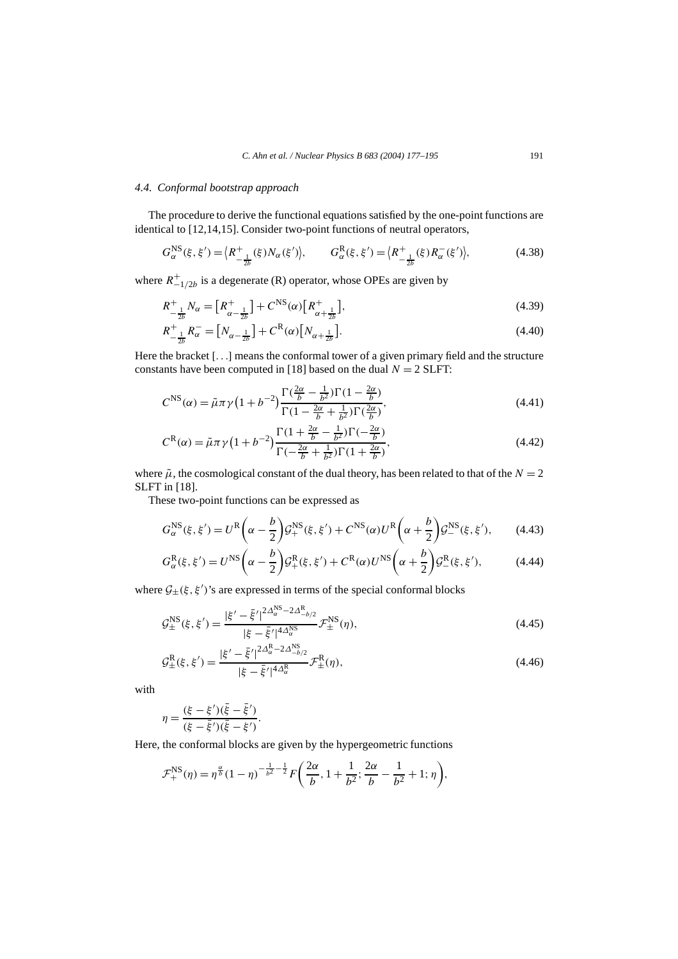## *4.4. Conformal bootstrap approach*

The procedure to derive the functional equations satisfied by the one-point functions are identical to [12,14,15]. Consider two-point functions of neutral operators,

$$
G_{\alpha}^{\text{NS}}(\xi, \xi') = \left\langle R_{-\frac{1}{2b}}^{+}(\xi) N_{\alpha}(\xi') \right\rangle, \qquad G_{\alpha}^{\text{R}}(\xi, \xi') = \left\langle R_{-\frac{1}{2b}}^{+}(\xi) R_{\alpha}^{-}(\xi') \right\rangle, \tag{4.38}
$$

where  $R_{-1/2b}^{+}$  is a degenerate (R) operator, whose OPEs are given by

$$
R_{-\frac{1}{2b}}^{+} N_{\alpha} = \left[ R_{\alpha - \frac{1}{2b}}^{+} \right] + C^{\text{NS}}(\alpha) \left[ R_{\alpha + \frac{1}{2b}}^{+} \right],\tag{4.39}
$$

$$
R_{-\frac{1}{2b}}^{+}R_{\alpha}^{-} = [N_{\alpha - \frac{1}{2b}}] + C^{R}(\alpha)[N_{\alpha + \frac{1}{2b}}].
$$
\n(4.40)

Here the bracket [*...*] means the conformal tower of a given primary field and the structure constants have been computed in [18] based on the dual  $N = 2$  SLFT:

$$
C^{\rm NS}(\alpha) = \tilde{\mu}\pi\gamma \left(1 + b^{-2}\right) \frac{\Gamma\left(\frac{2\alpha}{b} - \frac{1}{b^2}\right)\Gamma\left(1 - \frac{2\alpha}{b}\right)}{\Gamma\left(1 - \frac{2\alpha}{b} + \frac{1}{b^2}\right)\Gamma\left(\frac{2\alpha}{b}\right)},\tag{4.41}
$$

$$
C^{R}(\alpha) = \tilde{\mu}\pi\gamma\left(1+b^{-2}\right)\frac{\Gamma(1+\frac{2\alpha}{b}-\frac{1}{b^{2}})\Gamma(-\frac{2\alpha}{b})}{\Gamma(-\frac{2\alpha}{b}+\frac{1}{b^{2}})\Gamma(1+\frac{2\alpha}{b})},
$$
\n(4.42)

where  $\tilde{\mu}$ , the cosmological constant of the dual theory, has been related to that of the  $N = 2$ SLFT in [18].

These two-point functions can be expressed as

$$
G_{\alpha}^{\text{NS}}(\xi, \xi') = U^{\text{R}}\left(\alpha - \frac{b}{2}\right) \mathcal{G}_{+}^{\text{NS}}(\xi, \xi') + C^{\text{NS}}(\alpha) U^{\text{R}}\left(\alpha + \frac{b}{2}\right) \mathcal{G}_{-}^{\text{NS}}(\xi, \xi'),\tag{4.43}
$$

$$
G_{\alpha}^{\mathcal{R}}(\xi,\xi') = U^{\mathcal{NS}}\left(\alpha - \frac{b}{2}\right) \mathcal{G}_{+}^{\mathcal{R}}(\xi,\xi') + C^{\mathcal{R}}(\alpha)U^{\mathcal{NS}}\left(\alpha + \frac{b}{2}\right) \mathcal{G}_{-}^{\mathcal{R}}(\xi,\xi'),\tag{4.44}
$$

where  $G_{\pm}(\xi, \xi')$ 's are expressed in terms of the special conformal blocks

$$
\mathcal{G}_{\pm}^{\text{NS}}(\xi, \xi') = \frac{|\xi' - \bar{\xi}'|^{2\Delta_{\alpha}^{\text{NS}} - 2\Delta_{-b/2}^{\text{R}}} }{|\xi - \bar{\xi}'|^{4\Delta_{\alpha}^{\text{NS}}}} \mathcal{F}_{\pm}^{\text{NS}}(\eta),\tag{4.45}
$$

$$
\mathcal{G}_{\pm}^{R}(\xi,\xi') = \frac{|\xi'-\bar{\xi}'|^{2\Delta_{\alpha}^{R}-2\Delta_{-b/2}^{NS}}}{|\xi-\bar{\xi}'|^{4\Delta_{\alpha}^{R}}} \mathcal{F}_{\pm}^{R}(\eta),
$$
\n(4.46)

with

$$
\eta = \frac{(\xi - \xi')(\bar{\xi} - \bar{\xi}')}{(\xi - \bar{\xi}')(\bar{\xi} - \xi')}.
$$

Here, the conformal blocks are given by the hypergeometric functions

$$
\mathcal{F}_{+}^{\text{NS}}(\eta) = \eta^{\frac{\alpha}{b}}(1-\eta)^{-\frac{1}{b^2}-\frac{1}{2}}F\left(\frac{2\alpha}{b}, 1+\frac{1}{b^2}; \frac{2\alpha}{b}-\frac{1}{b^2}+1; \eta\right),\,
$$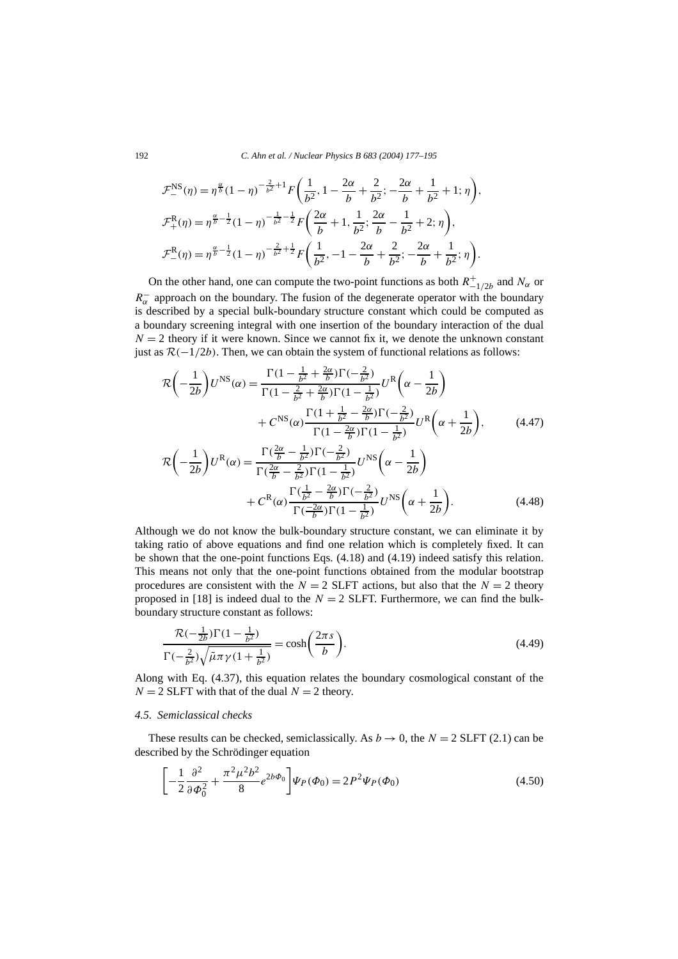$$
\mathcal{F}_{-}^{\text{NS}}(\eta) = \eta^{\frac{\alpha}{b}} (1 - \eta)^{-\frac{2}{b^2} + 1} F\left(\frac{1}{b^2}, 1 - \frac{2\alpha}{b} + \frac{2}{b^2}; -\frac{2\alpha}{b} + \frac{1}{b^2} + 1; \eta\right),
$$
  

$$
\mathcal{F}_{+}^{\text{R}}(\eta) = \eta^{\frac{\alpha}{b} - \frac{1}{2}} (1 - \eta)^{-\frac{1}{b^2} - \frac{1}{2}} F\left(\frac{2\alpha}{b} + 1, \frac{1}{b^2}; \frac{2\alpha}{b} - \frac{1}{b^2} + 2; \eta\right),
$$
  

$$
\mathcal{F}_{-}^{\text{R}}(\eta) = \eta^{\frac{\alpha}{b} - \frac{1}{2}} (1 - \eta)^{-\frac{2}{b^2} + \frac{1}{2}} F\left(\frac{1}{b^2}, -1 - \frac{2\alpha}{b} + \frac{2}{b^2}; -\frac{2\alpha}{b} + \frac{1}{b^2}; \eta\right).
$$

On the other hand, one can compute the two-point functions as both  $R_{-1/2b}^+$  and  $N_\alpha$  or  $R_{\alpha}^-$  approach on the boundary. The fusion of the degenerate operator with the boundary is described by a special bulk-boundary structure constant which could be computed as a boundary screening integral with one insertion of the boundary interaction of the dual  $N = 2$  theory if it were known. Since we cannot fix it, we denote the unknown constant just as  $\mathcal{R}(-1/2b)$ . Then, we can obtain the system of functional relations as follows:

$$
\mathcal{R}\left(-\frac{1}{2b}\right)U^{\text{NS}}(\alpha) = \frac{\Gamma(1 - \frac{1}{b^2} + \frac{2\alpha}{b})\Gamma(-\frac{2}{b^2})}{\Gamma(1 - \frac{2}{b^2} + \frac{2\alpha}{b})\Gamma(1 - \frac{1}{b^2})}U^{\text{R}}\left(\alpha - \frac{1}{2b}\right) + C^{\text{NS}}(\alpha)\frac{\Gamma(1 + \frac{1}{b^2} - \frac{2\alpha}{b})\Gamma(-\frac{2}{b^2})}{\Gamma(1 - \frac{2\alpha}{b})\Gamma(1 - \frac{1}{b^2})}U^{\text{R}}\left(\alpha + \frac{1}{2b}\right),\tag{4.47}
$$

$$
\mathcal{R}\left(-\frac{1}{2b}\right)U^R(\alpha) = \frac{\Gamma(\frac{2\alpha}{b} - \frac{1}{b^2})\Gamma(-\frac{2}{b^2})}{\Gamma(\frac{2\alpha}{b} - \frac{2}{b^2})\Gamma(1 - \frac{1}{b^2})}U^{NS}\left(\alpha - \frac{1}{2b}\right) + C^R(\alpha)\frac{\Gamma(\frac{1}{b^2} - \frac{2\alpha}{b})\Gamma(-\frac{2}{b^2})}{\Gamma(\frac{-2\alpha}{b})\Gamma(1 - \frac{1}{b^2})}U^{NS}\left(\alpha + \frac{1}{2b}\right).
$$
\n(4.48)

Although we do not know the bulk-boundary structure constant, we can eliminate it by taking ratio of above equations and find one relation which is completely fixed. It can be shown that the one-point functions Eqs. (4.18) and (4.19) indeed satisfy this relation. This means not only that the one-point functions obtained from the modular bootstrap procedures are consistent with the  $N = 2$  SLFT actions, but also that the  $N = 2$  theory proposed in [18] is indeed dual to the  $N = 2$  SLFT. Furthermore, we can find the bulkboundary structure constant as follows:

$$
\frac{\mathcal{R}(-\frac{1}{2b})\Gamma(1-\frac{1}{b^2})}{\Gamma(-\frac{2}{b^2})\sqrt{\tilde{\mu}\pi\gamma(1+\frac{1}{b^2})}} = \cosh\left(\frac{2\pi s}{b}\right).
$$
\n(4.49)

Along with Eq. (4.37), this equation relates the boundary cosmological constant of the  $N = 2$  SLFT with that of the dual  $N = 2$  theory.

## *4.5. Semiclassical checks*

These results can be checked, semiclassically. As  $b \rightarrow 0$ , the  $N = 2$  SLFT (2.1) can be described by the Schrödinger equation

$$
\left[ -\frac{1}{2} \frac{\partial^2}{\partial \Phi_0^2} + \frac{\pi^2 \mu^2 b^2}{8} e^{2b\Phi_0} \right] \Psi_P(\Phi_0) = 2P^2 \Psi_P(\Phi_0)
$$
\n(4.50)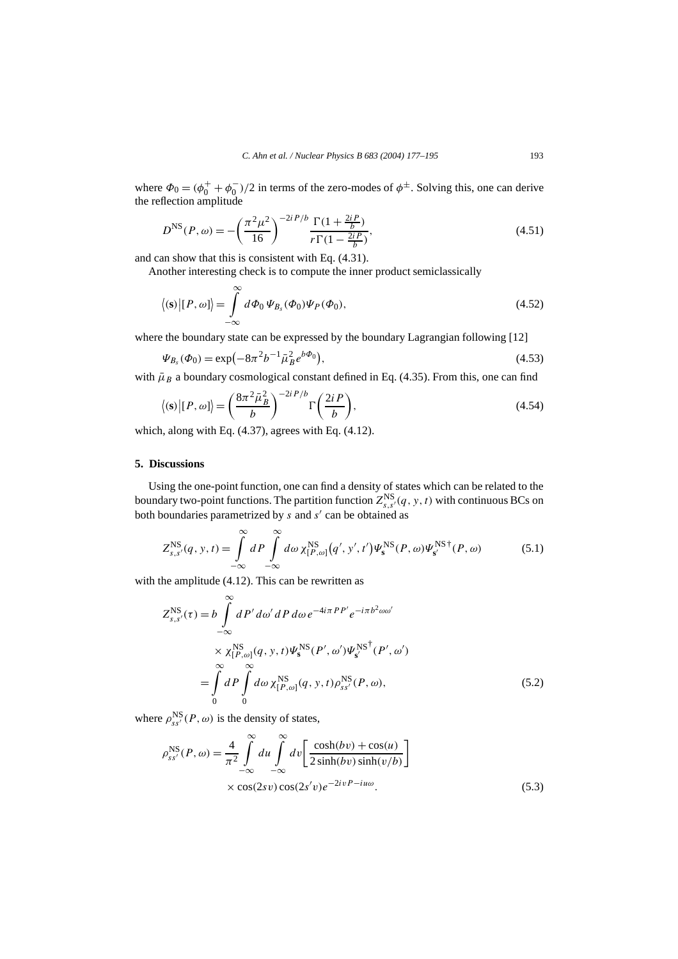where  $\Phi_0 = (\phi_0^+ + \phi_0^-)/2$  in terms of the zero-modes of  $\phi^{\pm}$ . Solving this, one can derive the reflection amplitude

$$
D^{\rm NS}(P,\omega) = -\left(\frac{\pi^2 \mu^2}{16}\right)^{-2iP/b} \frac{\Gamma(1 + \frac{2iP}{b})}{r\Gamma(1 - \frac{2iP}{b})},\tag{4.51}
$$

and can show that this is consistent with Eq. (4.31).

Another interesting check is to compute the inner product semiclassically

$$
\langle (\mathbf{s}) | [P, \omega] \rangle = \int_{-\infty}^{\infty} d\Phi_0 \, \Psi_{B_s}(\Phi_0) \Psi_P(\Phi_0), \tag{4.52}
$$

where the boundary state can be expressed by the boundary Lagrangian following [12]

$$
\Psi_{B_s}(\Phi_0) = \exp(-8\pi^2 b^{-1} \bar{\mu}_B^2 e^{b\Phi_0}),\tag{4.53}
$$

with  $\bar{\mu}_B$  a boundary cosmological constant defined in Eq. (4.35). From this, one can find

$$
\langle (\mathbf{s}) | [P, \omega] \rangle = \left( \frac{8\pi^2 \bar{\mu}_B^2}{b} \right)^{-2iP/b} \Gamma\left( \frac{2iP}{b} \right),\tag{4.54}
$$

which, along with Eq. (4.37), agrees with Eq. (4.12).

# **5. Discussions**

Using the one-point function, one can find a density of states which can be related to the boundary two-point functions. The partition function  $Z_{s,s'}^{\text{NS}}(q, y, t)$  with continuous BCs on both boundaries parametrized by *s* and *s'* can be obtained as

$$
Z_{s,s'}^{\rm NS}(q, y, t) = \int_{-\infty}^{\infty} dP \int_{-\infty}^{\infty} d\omega \, \chi_{[P,\omega]}^{\rm NS}(q', y', t') \Psi_s^{\rm NS}(P, \omega) \Psi_{s'}^{\rm NS \, \dagger}(P, \omega) \tag{5.1}
$$

with the amplitude  $(4.12)$ . This can be rewritten as

$$
Z_{s,s'}^{\text{NS}}(\tau) = b \int_{-\infty}^{\infty} dP' d\omega' dP d\omega e^{-4i\pi PP'} e^{-i\pi b^2 \omega \omega'}
$$
  
 
$$
\times \chi_{[P,\omega]}^{\text{NS}}(q, y, t) \Psi_s^{\text{NS}}(P', \omega') \Psi_{s'}^{\text{NS}^\dagger}(P', \omega')
$$
  

$$
= \int_{0}^{\infty} dP \int_{0}^{\infty} d\omega \chi_{[P,\omega]}^{\text{NS}}(q, y, t) \rho_{ss'}^{\text{NS}}(P, \omega), \qquad (5.2)
$$

where  $\rho_{ss'}^{\text{NS}}(P,\omega)$  is the density of states,

$$
\rho_{ss'}^{\text{NS}}(P,\omega) = \frac{4}{\pi^2} \int_{-\infty}^{\infty} du \int_{-\infty}^{\infty} dv \left[ \frac{\cosh(bv) + \cos(u)}{2\sinh(bv)\sinh(v/b)} \right]
$$
  
× cos(2sv) cos(2s'v)e<sup>-2ivP-iuv</sup>. (5.3)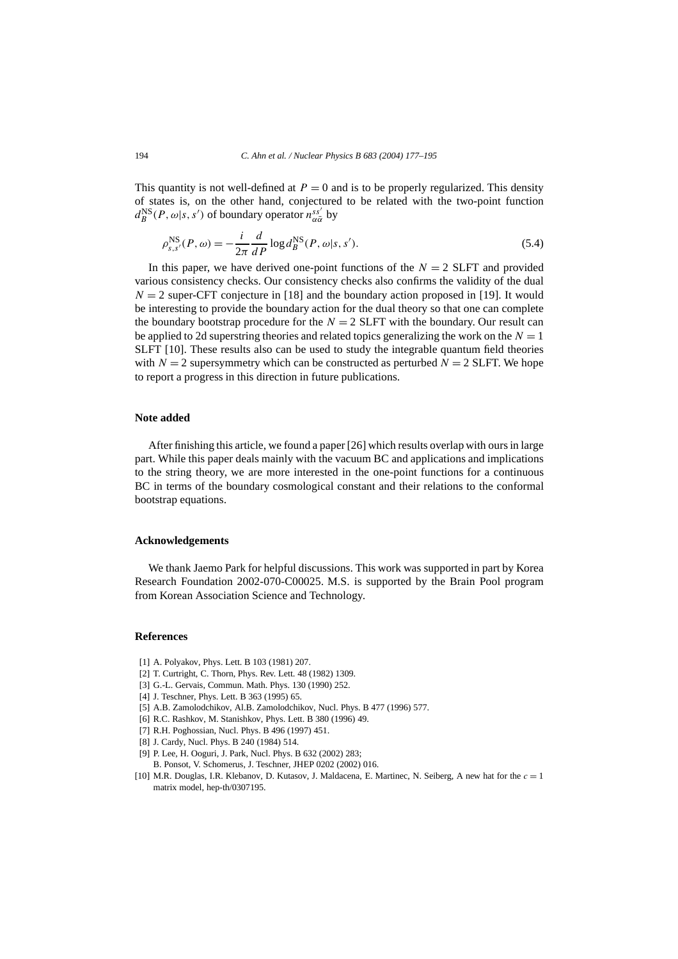This quantity is not well-defined at  $P = 0$  and is to be properly regularized. This density of states is, on the other hand, conjectured to be related with the two-point function  $d_B^{\text{NS}}(P, \omega | s, s')$  of boundary operator  $n_{\alpha \overline{\alpha}}^{ss'}$  by

$$
\rho_{s,s'}^{\text{NS}}(P,\omega) = -\frac{i}{2\pi} \frac{d}{dP} \log d_B^{\text{NS}}(P,\omega|s,s'). \tag{5.4}
$$

In this paper, we have derived one-point functions of the  $N = 2$  SLFT and provided various consistency checks. Our consistency checks also confirms the validity of the dual  $N = 2$  super-CFT conjecture in [18] and the boundary action proposed in [19]. It would be interesting to provide the boundary action for the dual theory so that one can complete the boundary bootstrap procedure for the  $N = 2$  SLFT with the boundary. Our result can be applied to 2d superstring theories and related topics generalizing the work on the  $N = 1$ SLFT [10]. These results also can be used to study the integrable quantum field theories with  $N = 2$  supersymmetry which can be constructed as perturbed  $N = 2$  SLFT. We hope to report a progress in this direction in future publications.

# **Note added**

After finishing this article, we found a paper [26] which results overlap with ours in large part. While this paper deals mainly with the vacuum BC and applications and implications to the string theory, we are more interested in the one-point functions for a continuous BC in terms of the boundary cosmological constant and their relations to the conformal bootstrap equations.

#### **Acknowledgements**

We thank Jaemo Park for helpful discussions. This work was supported in part by Korea Research Foundation 2002-070-C00025. M.S. is supported by the Brain Pool program from Korean Association Science and Technology.

#### **References**

- [1] A. Polyakov, Phys. Lett. B 103 (1981) 207.
- [2] T. Curtright, C. Thorn, Phys. Rev. Lett. 48 (1982) 1309.
- [3] G.-L. Gervais, Commun. Math. Phys. 130 (1990) 252.
- [4] J. Teschner, Phys. Lett. B 363 (1995) 65.
- [5] A.B. Zamolodchikov, Al.B. Zamolodchikov, Nucl. Phys. B 477 (1996) 577.
- [6] R.C. Rashkov, M. Stanishkov, Phys. Lett. B 380 (1996) 49.
- [7] R.H. Poghossian, Nucl. Phys. B 496 (1997) 451.
- [8] J. Cardy, Nucl. Phys. B 240 (1984) 514.
- [9] P. Lee, H. Ooguri, J. Park, Nucl. Phys. B 632 (2002) 283; B. Ponsot, V. Schomerus, J. Teschner, JHEP 0202 (2002) 016.
- [10] M.R. Douglas, I.R. Klebanov, D. Kutasov, J. Maldacena, E. Martinec, N. Seiberg, A new hat for the  $c = 1$ matrix model, hep-th/0307195.